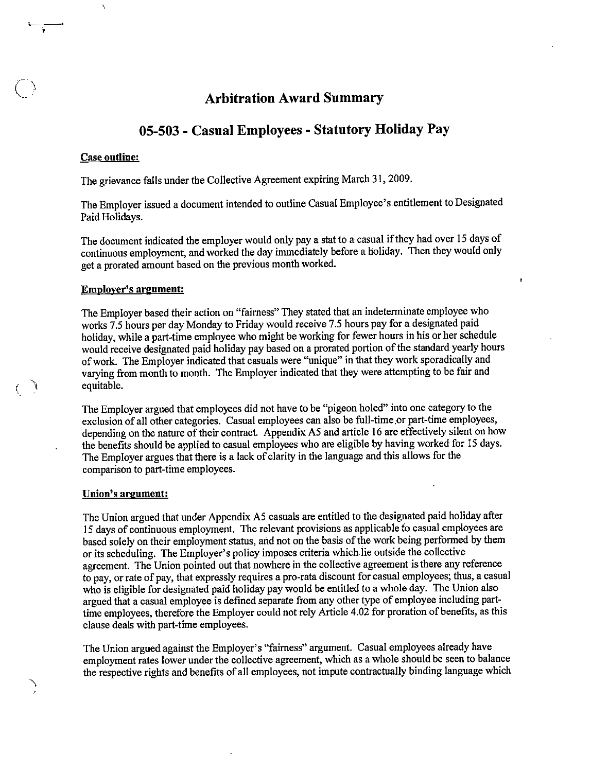## Arbitration Award Summary

## 05-503 - Casual Employees - Statutory Holiday Pay

#### Case outline:

 $\boldsymbol{\lambda}$ 

The grievance falls under the Collective Agreement expiring March 31,2009.

The Employer issued a document intended to outline Casual Employee's entitlement to Designated Paid Holidays.

The document indicated the employer would only pay a stat to a casual if they had over 15 days of continuous employment, and worked the day immediately before a holiday. Then they would only geta prorated amount based onthe previous month worked.

r

### Employer's argument:

The Employer based their action on "fairness" They stated that an indeterminate employee who works 7.5 hours per day Monday to Friday would receive 7.5 hours pay for a designated paid holiday, while a part-time employee who might be working for fewer hours in his or her schedule would receive designated paid holiday pay based on a prorated portion of the standard yearly hours of work. The Employer indicated that casuals were "unique" in that they work sporadically and varying from month to month. The Employer indicated that they were attempting to be fair and equitable.

The Employer argued that employees did not have to be "pigeon holed" into one category to the exclusion of all other categories. Casual employees can also be full-time,or part-time employees, depending on the nature of their contract. Appendix A5 and article 16 are effectively silent on how the benefits should be applied to casual employees who are eligible by having worked for 15 days. The Employer argues that there is a lack of clarity in the language and this allows for the comparison to part-time employees.

### Union's argument;

Ì  $\langle$ 

> The Union argued that under Appendix A5 casuals are entitled to the designated paid holiday after 15 days of continuous employment. The relevant provisions as applicable to casual employees are based solely on their employment status, and not on the basis of the work being performed by them or its scheduling. The Employer's policy imposes criteria which lie outside the collective agreement. The Union pointed out that nowhere in the collective agreement is there any reference to pay, or rate of pay, that expressly requires a pro-rata discount for casual employees; thus, a casual who is eligible for designated paid holiday pay would be entitled to a whole day. The Union also argued that a casual employee is defined separate from any other type of employee including parttime employees, therefore the Employer could not rely Article 4.02 for proration of benefits, as this clause deals with part-time employees.

> The Union argued against the Employer's "fairness" argument. Casual employees already have employment rates lower under the collective agreement, which as a whole should be seen to balance the respective rights and benefits of all employees, not impute contractually binding language which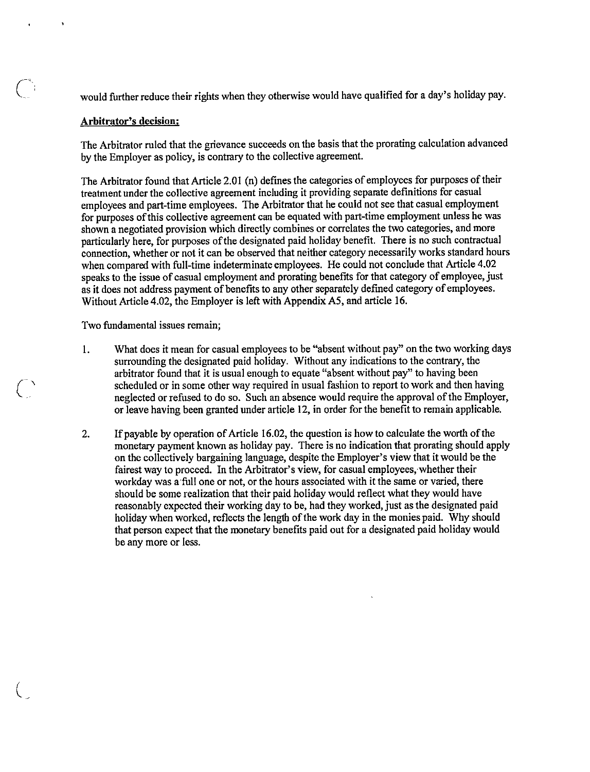would further reduce their rights when they otherwise would have qualified for a day's holiday pay.

### Arbitrator's decision;

The Arbitrator ruled that the grievance succeeds on the basis that the prorating calculation advanced by the Employer as policy, is contrary to the collective agreement.

The Arbitrator found that Article 2.01 (n) defines the categories of employees for purposes of their treatment under the collective agreement including it providing separate definitions for casual employees and part-time employees. The Arbitrator that he could not see that casual employment for purposes of this collective agreement can be equated with part-time employment unless he was shown a negotiated provision which directly combines or correlates the two categories, and more particularly here, for purposes of the designated paid holiday benefit. There is no such contractual connection, whether or not it can be observed that neither category necessarily works standard hours when compared with full-time indeterminate employees. He could not conclude that Article 4.02 speaks to the issue of casual employment and prorating benefits for that category of employee, just as it does not address payment of benefits to any other separately defined category of employees. Without Article 4.02, the Employer is left with Appendix A5, and article 16.

Two fundamental issues remain;

 $\zeta$ 

 $\overline{\zeta}$ 

- 1. What does it mean for casual employees to be "absent without pay" on the two working days surrounding the designated paid holiday. Without any indications to the contrary, the arbitrator found that it is usual enough to equate "absent without pay" to having been scheduled or in some other way required in usual fashion to report to work and then having neglected or refused to do so. Such an absence would require the approval of the Employer, or leave having been granted under article 12, in order for the benefit to remain applicable.
- 2. If payable by operation of Article 16.02, the question is how to calculate the worth of the monetary payment known as holiday pay. There is no indication that prorating should apply on the collectively bargaining language, despite the Employer's view that it would be the fairest way to proceed. In the Arbitrator's view, for casual employees, whether their workday was a full one or not, or the hours associated with it the same or varied, there should be some realization that their paid holiday would reflect what they would have reasonably expected their working day to be, had they worked, just as the designated paid holiday when worked, reflects the length of the work day in the monies paid. Why should that person expect that the monetary benefits paid out for a designated paid holiday would be any more or less.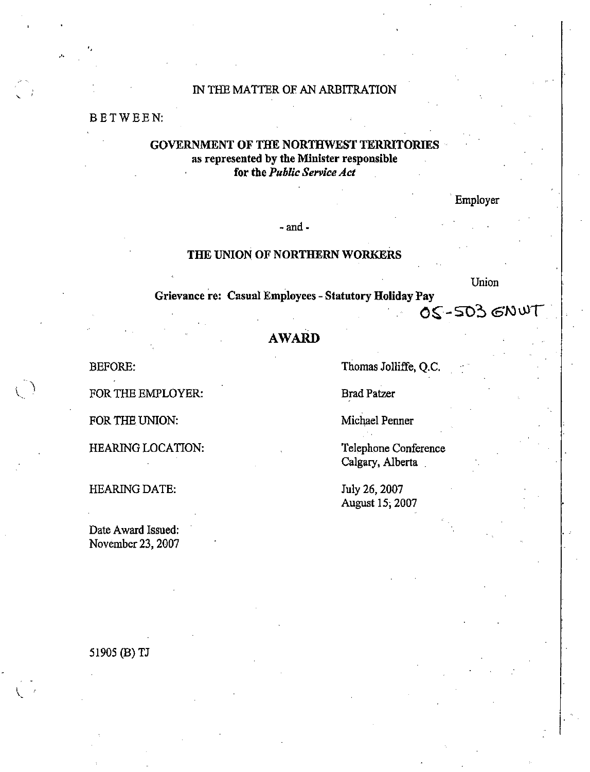## IN THE MATTER OF AN ARBITRATION

### BETWEEN:

### GOVERNMENT OF THE NORTHWEST TERRITORIES as represented by the Minister responsible for the Public Service Act

Employer

- and -

### THE UNION OF NORTHERN WORKERS

Union

Grievance re: Casual Employees - Statutory Holiday Pay<br>  $OS - 503$  GNUT

# AWARD

BEFORE:

FOR THE EMPLOYER:

FOR THE UNION:

HEARING LOCATION:

HEARING DATE:

Date Award Issued: November 23,2007 Thomas Jolliffe, Q.C.

Brad Patzer

Michael Penner

Telephone Conference Calgary, Alberta

July 26, 2007 August 15, 2007

51905 (B)TJ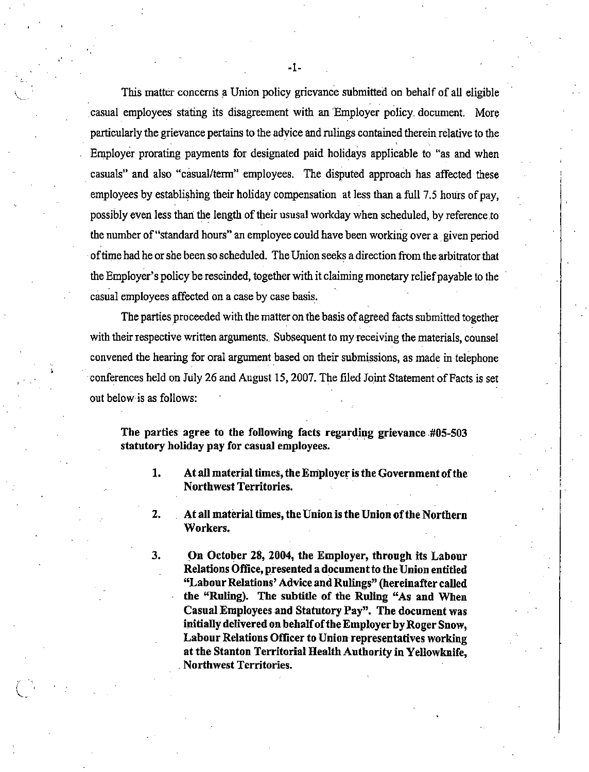This matter concerns a Union policy grievance submitted on behalf of ail eligible casual employees stating its disagreement with an 'Employer policy-document. More particularly the grievance pertains to the advice and rulings contained therein relative to the Employer prorating payments for designated paid holidays applicable to "as and when casuals" and also "casual/term" employees. The disputed approach has affected these employees by establishing their holiday compensation at less than a full 7.5 hours of pay, possibly even less than the length of their ususal workday when scheduled, by reference to the number of "standard hours" an employee could have been working over a given period oftime had he orshe been so scheduled. The Union seeks a direction from the arbitrator that the Employer's policy be rescinded, together with it claiming monetary relief payable to the casual employees affected on a case by case basis.

The parties proceeded with the matter on the basis of agreed facts submitted together with their respective written arguments. Subsequent to my receiving the materials, counsel convened the hearing for oral argument based on their submissions, as made in telephone conferences held on July 26 and August 15, 2007. The filed Joint Statement of Facts is set out below is as follows:

The parties agree to the following facts regarding grievance #05-503 statutory holiday pay for casual employees.

- 1. At all material times, theEmployer isthe Government ofthe Northwest Territories.
- 2. At all material times, the Union is the Union of the Northern Workers.

3. On October 28, 2004, the Employer, through its Labour Relations Office, presented a document to the Union entitled "Labour Relations' Advice and Rulings" (hereinafter called the "Ruling). The subtitle of the Ruling "As and When Casual Employees and Statutory Pay". The document was initially delivered on behalf of the Employer by Roger Snow. Labour Relations Officer to Union representatives working at the Stanton Territorial Health Authority in Yellowknife, . Northwest Territories.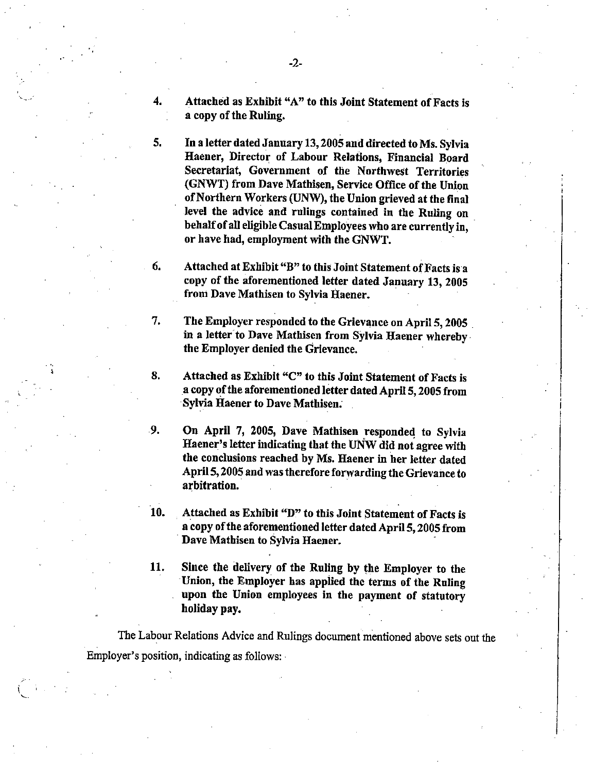4. Attached as Exhibit "A" to this Joint Statement of Facts is a copy of the Ruling.

5. In a letter dated January 13,2005and directed to Ms.Sylvia Haener, Director of Labour Relations, Financial Board Secretariat, Government of the Northwest Territories (GNWT) from Dave Mathisen, Service Office of the Union of Northern Workers (UNW), the Union grieved at the final level the advice and rulings contained in the Ruling on behalf of all eligible Casual Employees who are currently in, or have had, employment with the GNWT.

6. Attached at Exhibit "B" to this Joint Statement of Facts is a copy of the aforementioned letter dated January 13, 2005 from Dave Mathisen to Sylvia Haener.

7. The Employer responded to the Grievance on April 5, 2005 in a letter to Dave Mathisen from Sylvia Haener whereby the Employer denied the Grievance.

8. Attached as Exhibit "C" to this Joint Statement of Facts is a copy of the aforementioned letter dated April 5, 2005 from Sylvia Haener to Dave Mathisen.

9. On April 7, 2005, Dave Mathisen responded to Sylvia Haener's letter indicating that the UNW did not agree with the conclusions reached by Ms. Haener in her letter dated April 5, 2005 and was therefore forwarding the Grievance to arbitration.

10. Attached as Exhibit "D" to this Joint Statement of Facts is a copy of the aforementioned letter dated April 5, 2005 from Dave Mathisen to Sylvia Haener.

11. Since the delivery of the Ruling by the Employer to the Union, the Employer has applied the terms of the Ruling upon the Union employees in the payment of statutory holiday pay.

The Labour Relations Advice and Rulings document mentioned above sets out the Employer's position, indicating as follows:

 $\mathbf{r}$ v..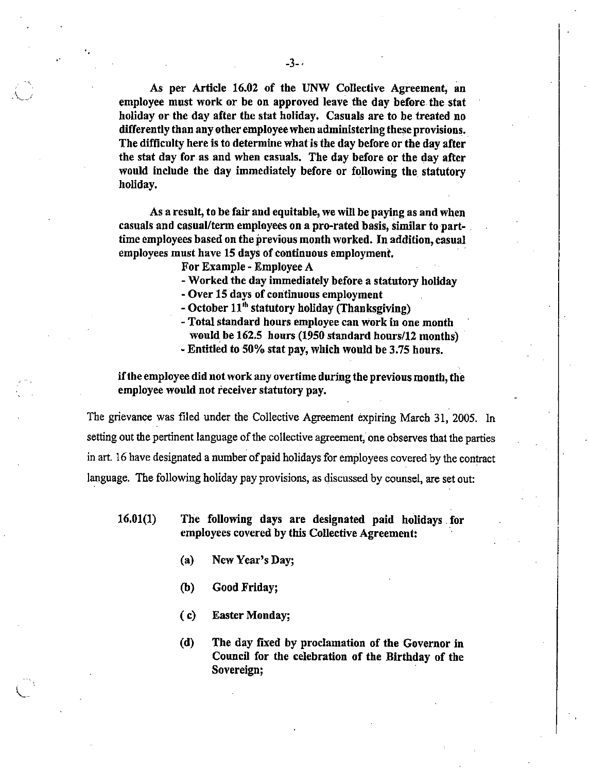As per Article 16.02 of the UNW Collective Agreement, an employee must work or be on approved leave the day before the stat holiday or the day after the stat holiday. Casuals are to be treated no differently than any other employee when administering these provisions. The difficulty here is to determine what is the day before or the day after the stat day for as and when casuals. The day before or the day after would include the day immediately before or following the statutory holiday.

As a result, to be fair and equitable, we will be paying as and when casuals and casual/term employeeson a pro-rated basis, similar to parttime employees based on the previous month worked. In addition, casual employees must have 15 days of continuous employment.

For Example - Employee A

- Worked the day immediately before a statutory holiday

- Over 15 days of continuous employment

- October  $11<sup>th</sup>$  statutory holiday (Thanksgiving)

- Total standard hours employee can work in one month would be 162.5 hours (1950 standard hours/12 months)
- Entitled to 50% stat pay, which would be 3.75 hours.

ifthe employee did not work any overtime during the previous month, the employee would not receiver statutory pay.

The grievance was filed under the Collective Agreement expiring March 31, 2005. In setting out the pertinent language of the collective agreement, one observes that the parties in art. 16 have designated a number of paid holidays for employees covered by the contract language. The following holiday pay provisions, as discussed by counsel, are set out:

16.01(1) The following days are designated paid holidays for employees covered by this Collective Agreement:

- (a) New Year's Day;
- (b) Good Friday;
- (c) Easter Monday;
- (d) The day fixed by proclamation of the Governor in Council for the celebration of the Birthday of the Sovereign;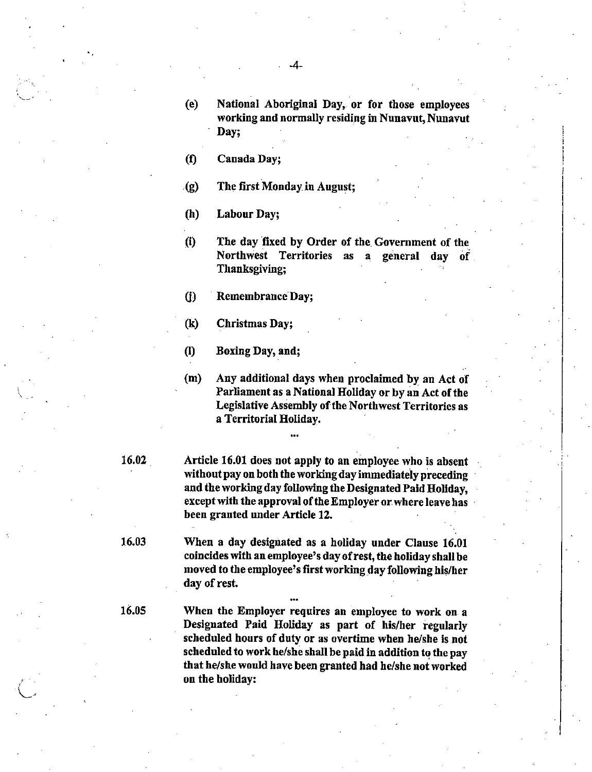- (e) National Aboriginal Bay, or for those employees working and normally residing in Nunavut, Nunavut Day;
- (f) Canada Bay;
- $\mathcal{L}(g)$  The first Monday in August;

(h) Labour Bay;

(i) The day fixed by Order of the Government of the Northwest Territories as a general day of Thanksgiving;

(f) Remembrance Day;

(k) Christmas Day;

(1) Boxing Bay, and;

(m) Any additional days when proclaimed by an Act of Parliament as a National Holiday or by an Act of the Legislative Assembly of the Northwest Territorics as a Territorial Holiday.

16.02 Article 16.01 does not apply to an employee who is absent without pay on both the working day immediately preceding and the working day following the Designated Paid Holiday. except with the approval of the Employer or where leave has been granted under Article 12.

16.03 When a day designated as a holiday under Clause 16.01 coincides with an employee's day ofrest, the holiday shall be moved to the employee's first working day following his/her day of rest.

•••

...

16.05 When the Employer requires an employee to work on a Designated Paid Holiday as part of his/her regularly scheduled hours of duty or as overtime when he/she is not scheduled to work he/sheshall be paid in addition to the pay that he/she would have been granted had he/she not worked on the holiday: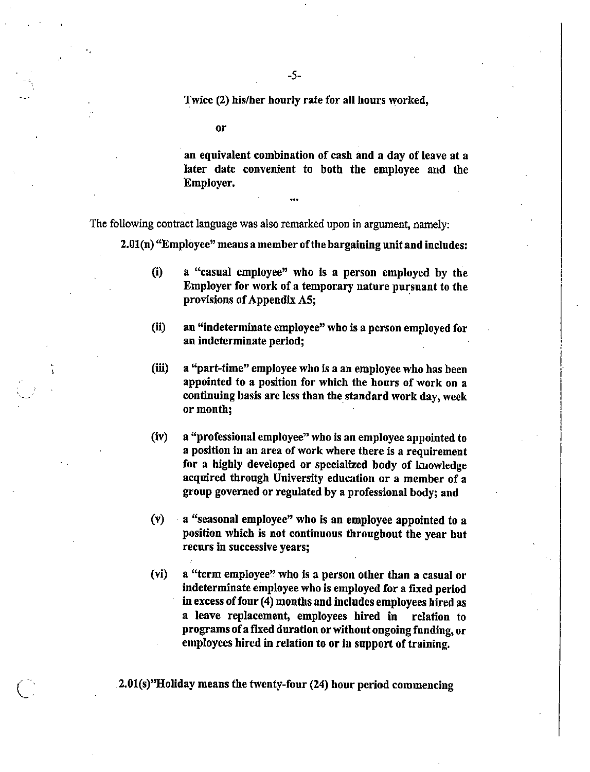Twice (2) his/her hourly rate for all hours worked,

or

an equivalent combination of cash and a day of leave at a later date convenient to both the employee and the Employer,

The following contract language was also remarked upon in argument, namely:

2.01(n) "Employee" means a member ofthe bargaining unit and includes:

•••

- (i) a "casual employee" who is a person employed by the Employer for work of a temporary nature pursuant to the provisions of Appendix A5;
- (ii) an "indeterminate employee" who is a person employed for an indeterminate period;
- (iii) a "part-time" employee who is a an employee who has been appointed to a position for which the hours of work on a continuing basis are less than the standard work day, week or month;
- (iv) a "professional employee" who is an employee appointed to a position in an area of work where there is a requirement for a highly developed or specialized body of knowledge acquired through University education or a member of a group governed or regulated by a professional body; and
- (v) a "seasonal employee" who is an employee appointed to a position which is not continuous throughout the year but recurs in successive years;
- (vi) a "term employee" who is a person other than a casual or indeterminate employee who is employed for a fixed period in excess of four (4) months and includes employees hired as a leave replacement, employees hired in relation to programs of a fixed duration or without ongoing funding, or employees hired in relation to or in support of training.

2.01(s)"Holiday means the twenty-four (24) hour period commencing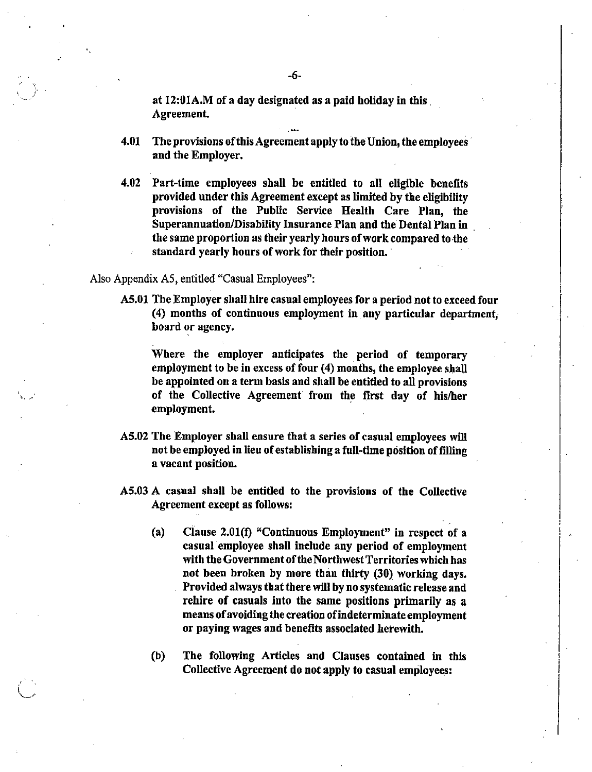at 12:01A.M of a day designated as a paid holiday in this. Agreement

- 4.01 The provisions of this Agreement apply to the Union, the employees and the Employer.
- 4.02 Part-time employees shall be entitled to all eligible benefits provided under this Agreement except as limited by the eligibility provisions of the Public Service Health Care Plan, the Superannuation/Disability Insurance Plan and the Dental Plan in the same proportion as their yearly hours of work compared to the standard yearly hours of work for their position.

Also AppendixA5, entitled "Casual Employees":

V-'''

A5.01 The Employer shall hire casual employees for a period not to exceed four (4) months of continuous employment in any particular department, board or agency.

Where the employer anticipates the period of temporary employment to be in excess of four (4) months, the employee shall be appointed on a term basis and shall be entitled to all provisions of the Collective Agreement from the first day of his/her employment.

- A5.02 The Employer shall ensure that a series of casual employees will not be employed in lieu of establishing a full-time position of filling a vacant position.
- A5.03 A casual shall be entitled to the provisions of the Collective Agreement except as follows:
	- (a) Clause 2.01(1) "Continuous Employment" in respect of a casual employee shall include any period of employment with the Government of the Northwest Territories which has not been broken by more than thirty (30) working days. Provided always that there will by no systematic release and rehire of casuals into the same positions primarily as a means ofavoiding the creation ofindeterminate employment or paying wages and benefits associated herewith.
	- (b) The following Articles and Clauses contained in this Collective Agreement do not apply to casual employees: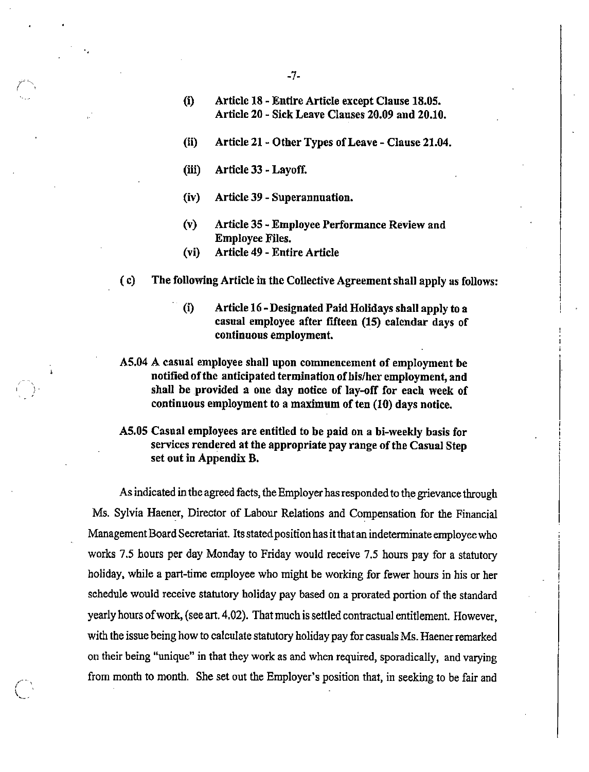- (i) Article 18 Entire Article except Clause 18.05. Article 20 - Sick Leave Clauses 20.09 and 20.10.
- (ii) Article 21 Other Types of Leave Clause 21.04.
- $(iii)$  Article 33 Layoff.
- (iv) Article 39
- (v) Article 35 Employee Performance Review and Employee
- (Vi) Article 49
- (c) The following Article in the Collective Agreementshall apply as follows:
	- (i) Article 16-Designated Paid Holidaysshall apply to a casual employee after fifteen (15) calendar days of continuous employment.
- A5.04 A casual employee shall upon commencement of employment be notified ofthe anticipated termination of his/her employment, and shall be provided a one day notice of lay-off for each week of continuous employment to a maximum of ten (10) days notice.
- A5.05 Casual employees are entitled to be paid on a bi-weekly basis for services rendered at the appropriate pay range of the Casual Step set out in Appendix B.

As indicated in the agreed facts, the Employer has responded to the grievance through Ms. Sylvia Haener, Director of Labour Relations and Compensation for the Financial Management Board Secretariat. Its stated position has it that an indeterminate employee who works 7.5 hours per day Monday to Friday would receive 7.5 hours pay for a statutory holiday, while a part-time employee who might be working for fewer hours in his or her schedule would receive statutory holiday pay based on a prorated portion of the standard yearly hours ofwork,(seeart.4.02). Thatmuchissettled contractual entitlement. However, with the issue being how to calculate statutory holiday pay for casuals Ms. Haener remarked on their being "unique" in that they work as and when required, sporadically, and varying from month to month. She set out the Employer's position that, in seeking to be fair and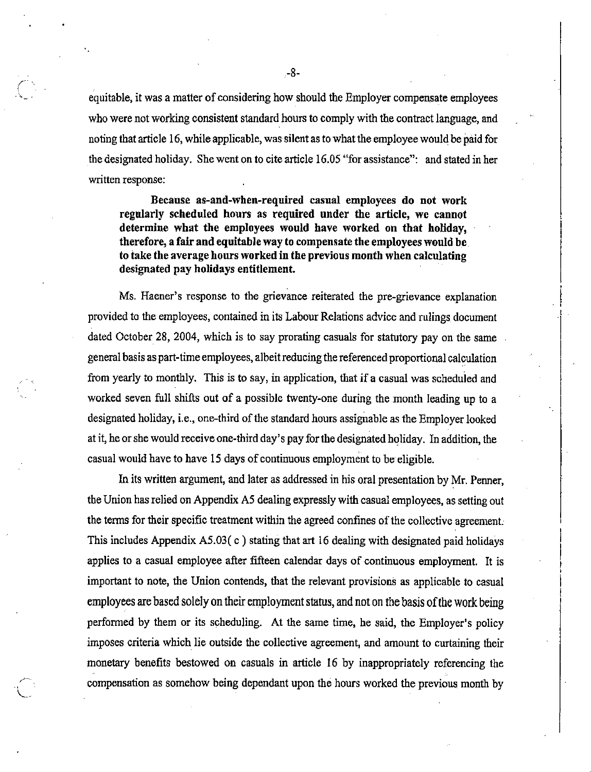equitable, it was a matter of considering how should the Employer compensate employees who were not working consistent standard hours to comply with the contract language, and noting that article 16, while applicable, was silent as to what the employee would be paid for the designated holiday. She went on to cite article 16.05 "for assistance": and stated in her written response:

Because as-and-when-required casual employees do not work regularly scheduled hours as required under the article, we cannot determine what the employees would have worked on that holiday, therefore, a fair and equitable way to compensate the employees would be to take the average hours worked in the previous month when calculating designated pay holidays entitlement.

Ms. Haener's response to the grievance reiterated the pre-grievance explanation provided to the employees, contained in its Labour Relations advice and rulings document dated October 28, 2004, which is to say prorating casuals for statutory pay on the same general basis aspart-time employees, albeitreducing thereferenced proportional calculation from yearly to monthly. This is to say, in application, that if a casual was scheduled and worked seven full shifts out of a possible twenty-one during the month leading up to a designated holiday, i.e., one-third of the standard hours assignable as the Employer looked at it,he or shewouldreceiveone-third day's payforthe designated holiday. In addition, the casual would have to have 15 days of continuous employment to be eligible.

In its written argument, and later as addressed in his oral presentation by Mr. Penner, the Union has relied on Appendix A5 dealing expressly with casual employees, as setting out the terms for their specific treatment within the agreed confines of the collective agreement. This includes Appendix A5.03( $c$ ) stating that art 16 dealing with designated paid holidays applies to a casual employee after fifteen calendar days of continuous employment. It is important to note, the Union contends, that the relevant provisions as applicable to casual employees are based solely on their employment status, and not on the basis of the work being performed by them or its scheduling. At the same time, he said, the Employer's policy imposes criteria which lie outside the collective agreement, and amount to curtaining their monetary benefits bestowed on casuals in article 16 by inappropriately referencing the compensation as somehow being dependant upon the hours worked the previous month by

-8-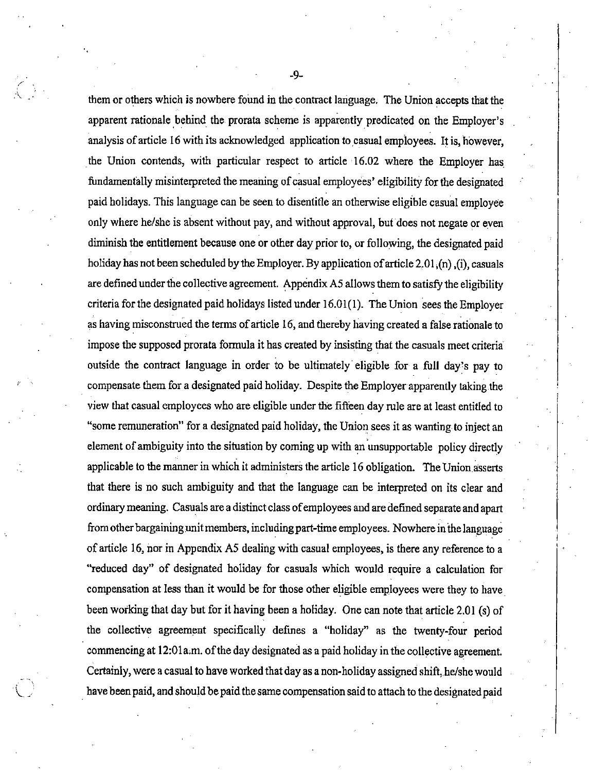themor others which is nowhere found in the contract language. The Union accepts that the apparent rationale behind the prorata scheme is apparently predicated on the Employer's analysis of article 16 with its acknowledged application to casual employees. It is, however, the Union contends, with particular respect to article 16.02 where the Employer has fundamentally misinterpreted the meaning of casual employees' eligibility for the designated paid holidays. This language canbe seen to disentitle an otherwise eligible casual employee only where he/she is absent without pay, and without approval, but does not negate or even diminish the entitlement because one or other day prior to, or following, the designated paid holiday has not been scheduled by the Employer. By application of article 2.01  $(n)$  ,(i), casuals are defined under the collective agreement. Appendix A5 allows them to satisfy the eligibility criteria for the designated paid holidays listed under  $16.01(1)$ . The Union sees the Employer as having misconstrued the terms of article 16, and thereby having created a false rationale to impose the supposed prorata formula it has created by insisting that the casuals meet criteria<sup>®</sup> outside the contract language in order to be ultimately eligible for a full day's pay to compensate them for a designated paid holiday. Despite the Employer apparently taking the view that casual employees who are eligible under the fifteen day rule are at least entitled to "some remuneration" for a designated paid holiday, the Union sees it as wanting to inject an element of ambiguity into the situation by coming up with an unsupportable policy directly applicable to the manner in which it administers the article 16 obligation. The Union asserts that there is no such ambiguity and that the language can be interpreted on its clear and ordinary meaning. Casuals are a distinct class of employees and are defined separate and apart from other bargaining unit members, including part-time employees. Nowhere in the language of article 16, nor in Appendix A5 dealing with casual employees, is thereany reference to a "reduced day" of designated holiday for casuals which would require a calculation for compensation at less than it would be for those other eligible employees were they to have been working that day but for it having been a holiday. One can note that article 2.01 (s) of the collective agreement specifically defmes a "holiday" as the twenty-four period commencing at  $12:01a$ , m. of the day designated as a paid holiday in the collective agreement. Certainly, were a casual to have worked that day as a non-holiday assigned shift, he/she would have been paid, and should be paid the same compensation said to attach to the designated paid

.  $\lq$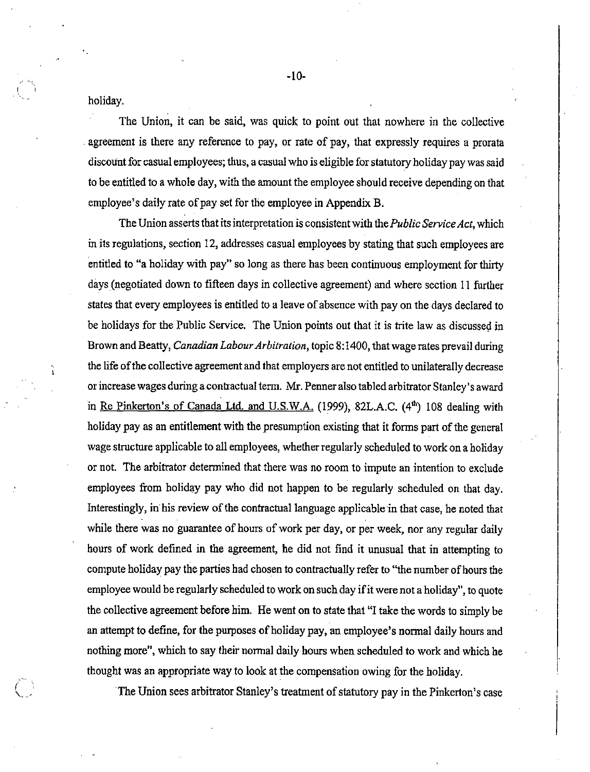holiday.

 $\mathbf{I}$ 

The Union, it can be said, was quick to point out that nowhere in the collective agreement is there any reference to pay, or rate of pay, that expressly requires a prorata discount for casual employees; thus, a casual who is eligible for statutory holiday pay was said to be entitled to a whole day, with the amount the employee should receive depending on that employee's daily rate of pay set for the employee in Appendix B.

The Union asserts that its interpretation is consistent with the *Public Service Act*, which in its regulations, section 12, addresses casual employees by stating that such employees are entitled to "a holiday with pay" so long as there has been continuous employment for thirty days (negotiated down to fifteen days in collective agreement) and where section 11 further states that every employees is entitled to a leave of absence with pay on the days declared to be holidays for the Public Service. The Union points out that it is trite law as discussed in Brown and Beatty, Canadian Labour Arbitration, topic 8:1400, that wage rates prevail during the life of the collective agreement and that employers are not entitled to unilaterally decrease or increase wages during a contractual term. Mr. Penner also tabled arbitrator Stanley's award in Re Pinkerton's of Canada Ltd. and U.S.W.A. (1999), 82L.A.C. (4<sup>th</sup>) 108 dealing with holiday pay as an entitlement with the presumption existing that it forms part of the general wage structure applicable to all employees, whether regularly scheduled to work on a holiday or not. The arbitrator determined that there was no room to impute an intention to exclude employees from holiday pay who did not happen to be regularly scheduled on that day. Interestingly, in his review of the contractual language applicable in that case, he noted that while there was no guarantee of hours of work per day, or per week, nor any regular daily hours of work defined in the agreement, he did not find it unusual that in attempting to compute holiday pay the parties had chosen to contractually refer to "the number of hours the employee would be regularly scheduled to work on such day if it were not a holiday", to quote the collective agreement before him. He went on to state that "I take the words to simply be an attempt to define, for the purposes of holiday pay, an employee's normal daily hours and nothing more", which to say their normal daily hours when scheduled to work and which he thought was an appropriate way to look at the compensation owing for the holiday.

The Union sees arbitrator Stanley's treatment of statutory pay in the Pinkerton's case

-10-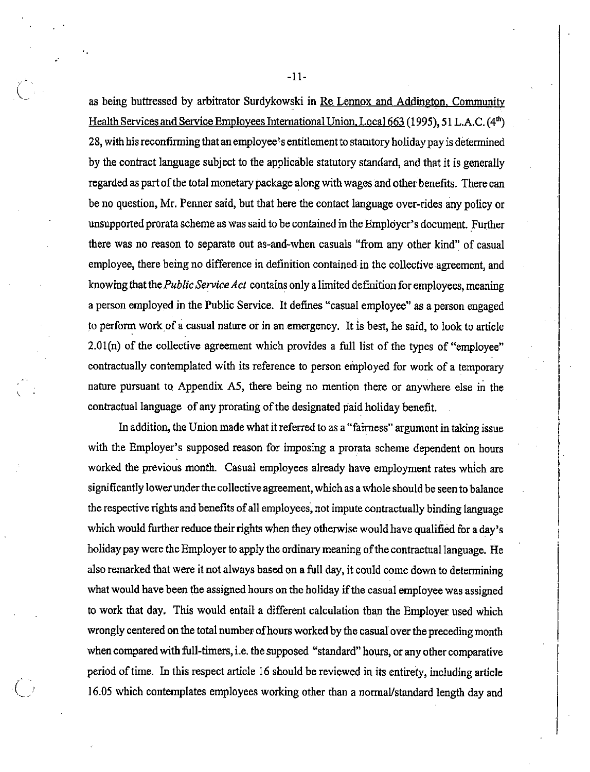as being buttressed by arbitrator Surdykowski in Re Lennox and Addineton. Community Health Services and Service Employees International Union. Local 663 (1995), 51 L.A.C. (4<sup>th</sup>) 28, with his reconfirming that an employee's entitlement to statutory holiday pay is determined by the contract language subject to the applicable statutory standard, and that it is generally regarded as part of the total monetary package along with wages and other benefits. There can be no question, Mr. Penner said, but that here the contact language over-rides any policy or unsupported prorata scheme as was said to be contained in the Employer's document. Further there was no reason to separate out as-and-when casuals "from any other kind" of casual employee, there being no difference in definition contained in the collective agreement, and knowing that the *Public Service Act* contains only a limited definition for employees, meaning a person employed in the Public Service. It defines "casual employee" as a person engaged to perform work of a casual nature or in an emergency. It is best, he said, to look to article 2.0l(n) of the collective agreement which provides a full list of the types of "employee" contractually contemplated with its reference to person employed for work of a temporary nature pursuant to Appendix A5, there being no mention there or anywhere else in the contractual language of any prorating of the designated paid holiday benefit.

In addition, the Union made what it referred to as a "fairness" argument in taking issue with the Employer's supposed reason for imposing a prorata scheme dependent on hours worked the previous month. Casual employees already have employment rates which are significantly lower under the collective agreement, which as a whole should be seen to balance the respective rights and benefits of all employees, not impute contractually binding language which would further reduce their rights when they otherwise would have qualified for a day's holiday pay were the Employer to apply the ordinary meaning of the contractual language. He also remarked that were it not always based on a full day, it could come down to determining what would have been the assigned hours on the holiday if the casual employee was assigned to work that day. This would entail a different calculation than the Employer used which wrongly centered on the total number of hours worked by the casual over the preceding month when compared with full-timers, i.e. the supposed "standard" hours, or any other comparative period of time. In this respect article 16 should be reviewed in its entirety, including article 16.05 which contemplates employees working other than a normal/standard length day and

-li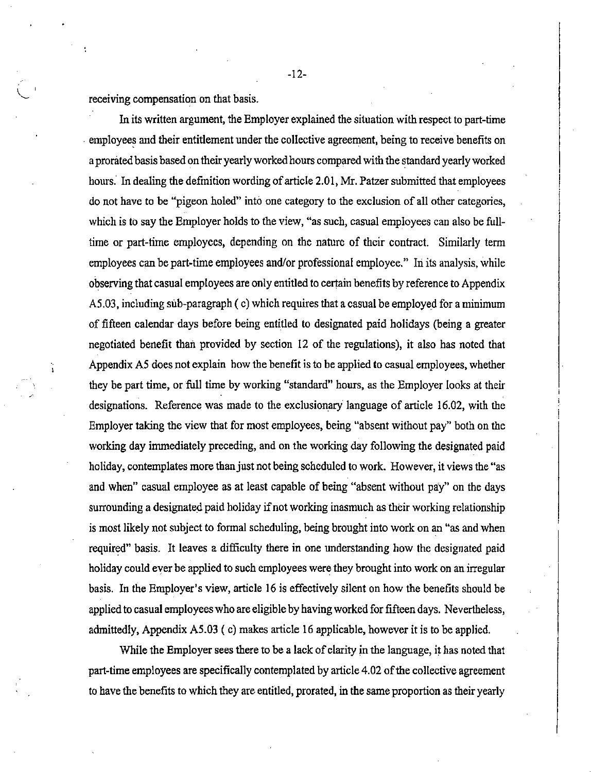receiving compensation on that basis.

In its written argument, the Employer explained the situation with respect to part-time employees and their entitlement under the collective agreement, being to receive benefits on a prorated basis based on their yearly worked hours compared with the standard yearly worked hours. In dealing the definition wording of article 2.01, Mr. Patzer submitted that employees do not have to be "pigeon holed" into one category to the exclusion of all other categories, which is to say the Employer holds to the view, "as such, casual employees can also be fulltime or part-time employees, depending on the nature of their contract. Similarly term employees can be part-time employees and/or professional employee." In its analysis, while observing that casual employees are only entitled to certain benefits by reference to Appendix A5.03, including sub-paragraph (c) which requires that a casual be employed for a minimum of fifteen calendar days before being entitled to designated paid holidays (being a greater negotiated benefit than provided by section 12 of the regulations), it also has noted that Appendix A5 does not explain how the benefit is to be applied to casual employees, whether they be part time, or full time by working "standard" hours, as the Employer looks at their designations. Reference was made to the exclusionary language of article 16.02, with the Employer taking the view that for most employees, being "absent without pay" both on the working day immediately preceding, and on the working day following the designated paid holiday, contemplates more than just not being scheduled to work. However, it views the "as and when" casual employee as at least capable of being "absent without pay" on the days surrounding a designated paid holiday if not working inasmuch as their working relationship is most likely not subject to formal scheduling, being brought into work on an "as and when required" basis. It leaves a difficulty there in one understanding how the designated paid holiday could ever be applied to such employees were they brought into work on an irregular basis. In the Employer's view, article 16 is effectively silent on how the benefits should be applied to casual employees who are eligible by having worked for fifteen days. Nevertheless, admittedly, AppendixA5.03 (c) makes article 16applicable, however it is to be applied.

While the Employer sees there to be a lack of clarity in the language, it has noted that part-time employees are specifically contemplated by article 4.02 of the collective agreement to have the benefits to which they are entitled, prorated, in the same proportion as their yearly

-12-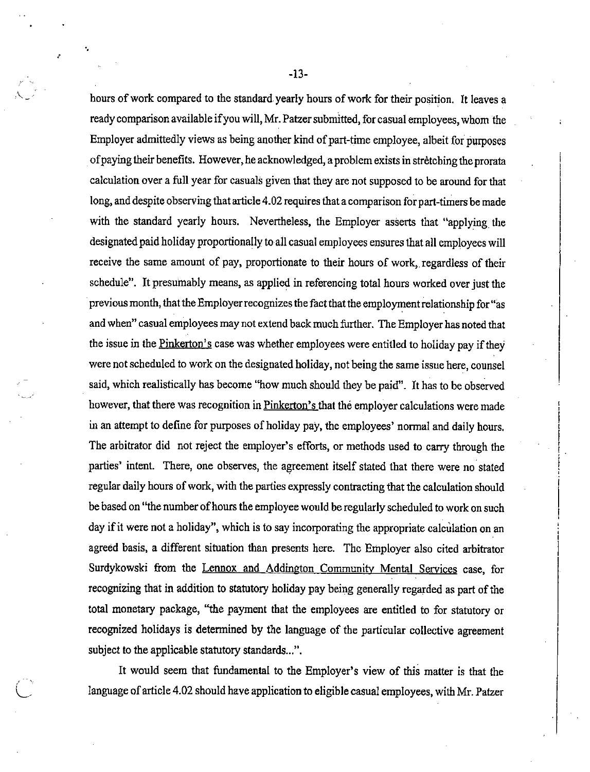hours of work compared to the standard yearly hours of work for their position. It leaves a ready comparison available ifyou will, Mr. Patzersubmitted, for casual employees, whom the Employer admittedly views as being another kind of part-time employee, albeit for purposes of paying their benefits. However, he acknowledged, a problem exists in stretching the prorata calculation overa full year for casuals given that they are notsupposed to be around forthat long, and despite observing that article 4.02 requires that a comparison for part-timers be made with the standard yearly hours. Nevertheless, the Employer asserts that "applying the designated paid holiday proportionally to all casual employees ensures that all employees will receive the same amount of pay, proportionate to their hours of work, regardless of their schedule". It presumably means, as applied in referencing total hours worked over just the previous month, that the Employer recognizes the fact that the employment relationship for "as and when" casual employees may not extend back much further. The Employer has noted that the issue in the Pinkerton's case was whether employees were entitled to holiday pay if they were not scheduled to work on the designated holiday, not being the same issue here, counsel said, which realistically has become "how much should they be paid". It has to be observed however, that there was recognition in Pinkerton's that the employer calculations were made in an attempt to define for purposes of holiday pay, the employees' normal and daily hours. The arbitrator did not reject the employer's efforts, or methods used to carry through the parties' intent. There, one observes, the agreement itself stated that there were no stated regular daily hours of work, with the parties expressly contracting that the calculation should be based on "the number of hours the employee would be regularly scheduled to work on such day if it were not a holiday", which is to say incorporating the appropriate calculation on an agreed basis, a different situation than presents here. The Employer also cited arbitrator Surdykowski from the Lennox and Addington Community Mental Services case, for recognizing that in addition to statutory holiday pay being generally regarded as part of the total monetary package, "the payment that the employees are entitled to for statutory or recognized holidays is determined by the language of the particular collective agreement subject to the applicable statutory standards...".

It would seem that fundamental to the Employer's view of this matter is that the language of article 4.02 should have application to eligible casual employees, with Mr. Patzer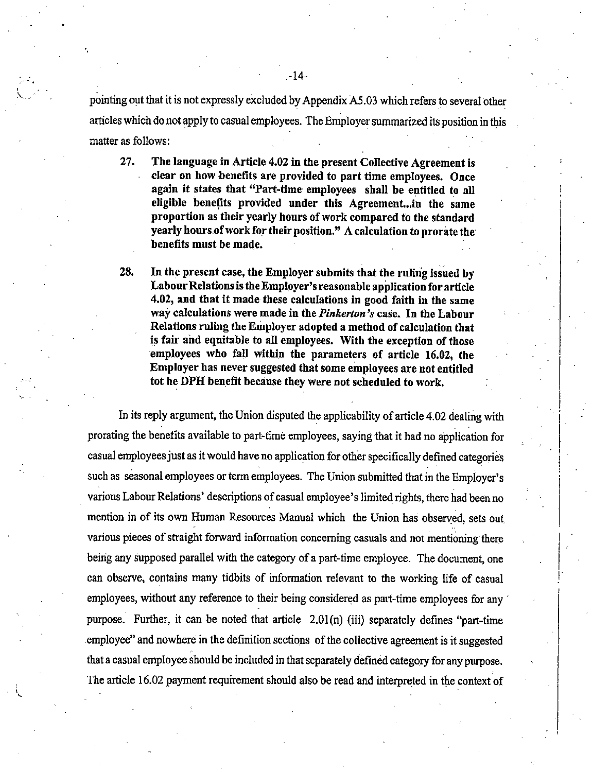pointing out that it is not expressly excluded by Appendix A5.03 which refers to several other articles which do not apply to casual employees. The Employer summarized its position in this matter as follows:

- 27. The language in Article 4.02 in the present Collective Agreement is clear on how benefits are provided to part time employees. Once again it states that "Part-time employees shall be entitled to all eligible benefits provided under this Agreement...m the same proportion as their yearly hours of work compared to the standard yearly hours ofwork for their position." A calculation to prorate the benefits must be made.
- 28. In the present case, the Employer submits that the ruling issued by Labour Relations is the Employer's reasonable application for article 4.02, and that it made these calculations in good faith in the same way calculations were made in the Pinkerton's case. In the Labour Relations ruling the Employer adopted a method of calculation that is fair and equitable to all employees. With the exception of those employees who fall within the parameters of article 16.02, the Employer has never suggested that some employees are not entitled tot he DPH benefit because they were not scheduled to work.

In its reply argument, the Union disputed the applicability of article 4.02 dealing with prorating the benefits available to part-time employees, saying that it had no application for casual employees just as it would have no application for other specifically defined categories such as seasonal employees or term employees. The Union submitted that in the Employer's various Labour Relations' descriptions of casual employee's limited rights, there had been no mention in of its own Human Resources Manual which the Union has observed, sets out various pieces of straight forward information concerning casuals and not mentioning there being any supposed parallel with the category of a part-time employee. The document, one can observe, contains many tidbits of information relevant to the working life of casual employees, without any reference to their being considered as part-time employees for any purpose. Further, it can be noted that article 2.01(n) (iii) separately defines "part-time employee" and nowhere in the definition sections of the collective agreement is it suggested that a casual employee should be included in that separately defined category for any purpose. The article 16.02 payment requirement should also be read and interpreted in the context of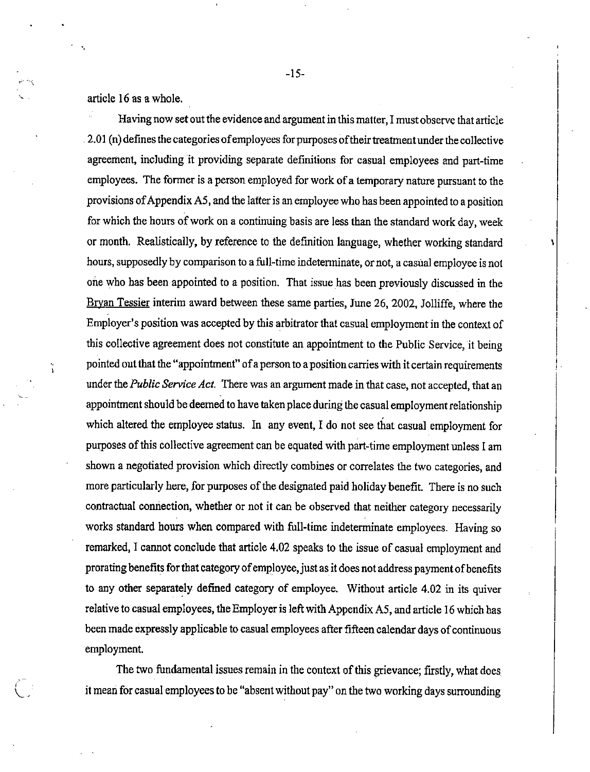article 16 as a whole.

Having now set out the evidence and argument in this matter. I must observe that article 2.01 (n) defines the categories of employees for purposes of their treatment under the collective agreement, including it providing separate definitions for casual employees and part-time employees. The former is a person employed for work of a temporary nature pursuant to the provisions of Appendix A5, and the latter is an employee who has been appointed to a position for which the hours of work on a continuing basis are less than the standard work day, week or month. Realistically, by reference to the definition language, whether working standard hours, supposedly by comparison to a full-time indeterminate, or not, a casual employee is not one who has been appointed to a position. That issue has been previously discussed in the Bryan Tessier interim award between these same parties, June 26, 2002, Jolliffe, where the Employer's position was accepted by this arbitrator that casual employment in the context of this collective agreement does not constitute an appointment to the Public Service, it being  $\ddot{\theta}$  pointed out that the "appointment" of a person to a position carries with it certain requirements under the Public Service Act. There was an argument made in that case, not accepted, that an appointment should be deemed to have taken place during the casual employment relationship which altered the employee status. In any event, I do not see that casual employment for purposes of this collective agreement can be equated with part-time employment unless I am shown a negotiated provision which directly combines or correlates the two categories, and more particularly here, for purposes of the designated paid holiday benefit. There is no such contractual connection, whether or not it canbe observed that neither category necessarily works standard hours when compared with full-time indeterminate employees. Having so remarked, I cannot conclude that article 4.02 speaks to the issue of casual employment and prorating benefits for that category of employee, just as it does not address payment of benefits to any other separately defined category of employee. Without article 4.02 in its quiver relative to casual employees, the Employer is left with Appendix A5, and article 16 which has been made expressly applicable to casual employees after fifteen calendar days of continuous employment.

The two fundamental issues remain in the context of this grievance; firstly, what does itmean for casual employeestobe"absentwithout pay"onthetwo working days surrounding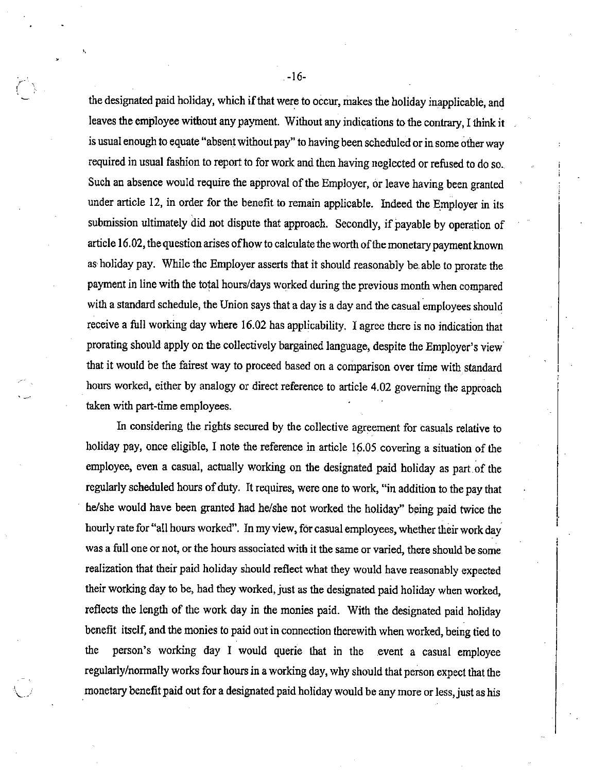the designated paid holiday, which if that were to occur, makes the holiday inapplicable, and leaves the employee without any payment. Without any indications to the contrary, I think it is usual enough to equate "absent without pay" to having been scheduled or in some other way required in usual fashion to report to for work and then having neglected or refused to do so. Such an absence would require the approval of the Employer, or leave having been granted under article 12, in order for the benefit to remain applicable. Indeed the Employer in its submission ultimately did not dispute that approach. Secondly, if payable by operation of article 16.02, the question arises of how to calculate the worth of the monetary payment known as holiday pay. While the Employer asserts that it should reasonably be able to prorate the payment inline with the total hours/days worked during the previous month when compared with a standard schedule, the Union says that a day is a day and the casual employees should receive a full working day where 16.02 has applicability. I agree there is no indication that prorating should apply on the collectively bargained language, despite the Employer's view that it would be the fairest way to proceed based on a comparison over time with standard hours worked, either by analogy or direct reference to article 4.02 governing the approach taken with part-time employees.

In considering the rights secured by the collective agreement for casuals relative to holiday pay, once eligible, I note the reference in article 16.05 covering a situation of the employee, even a casual, actually working on the designated paid holiday as part of the regularly scheduled hours of duty. It requires, were one to work, "in addition to the pay that he/she would have been granted had he/she not worked the holiday" being paid twice the hourly rate for "all hours worked". In my view, for casual employees, whether their work day was a full one or not, or the hours associated with it the same or varied, there should be some realization that their paid holiday should reflect what they would have reasonably expected their working day to be, had they worked, just as the designated paid holiday when worked, reflects the length of the work day in the monies paid. With the designated paid holiday benefit itself, and the monies to paid out inconnection therewith when worked, being tied to the person's working day I would querie that in the event a casual employee regularly/normally works four hours in a working day, why should that person expect that the monetary benefit paid out for a designated paid holiday would be any more or less, just as his

-16-